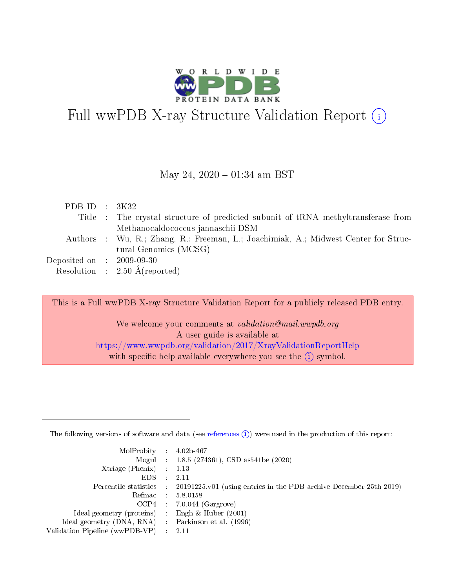

# Full wwPDB X-ray Structure Validation Report (i)

#### May 24,  $2020 - 01:34$  am BST

| PDB ID : $3K32$                                           |                                                                                     |
|-----------------------------------------------------------|-------------------------------------------------------------------------------------|
|                                                           | Title : The crystal structure of predicted subunit of tRNA methyltransferase from   |
|                                                           | Methanocaldococcus jannaschii DSM                                                   |
|                                                           | Authors : Wu, R.; Zhang, R.; Freeman, L.; Joachimiak, A.; Midwest Center for Struc- |
|                                                           | tural Genomics (MCSG)                                                               |
| $\rm Deposited\; on \;\; : \;\; 2009\text{-}09\text{-}30$ |                                                                                     |
|                                                           | Resolution : $2.50 \text{ Å}$ (reported)                                            |

This is a Full wwPDB X-ray Structure Validation Report for a publicly released PDB entry.

We welcome your comments at validation@mail.wwpdb.org A user guide is available at <https://www.wwpdb.org/validation/2017/XrayValidationReportHelp> with specific help available everywhere you see the  $(i)$  symbol.

The following versions of software and data (see [references](https://www.wwpdb.org/validation/2017/XrayValidationReportHelp#references)  $(1)$ ) were used in the production of this report:

| $MolProbability$ : 4.02b-467                       |               |                                                                                            |
|----------------------------------------------------|---------------|--------------------------------------------------------------------------------------------|
|                                                    |               | Mogul : $1.8.5$ (274361), CSD as 541be (2020)                                              |
| Xtriage (Phenix) $: 1.13$                          |               |                                                                                            |
| EDS.                                               | $\mathcal{L}$ | -2.11                                                                                      |
|                                                    |               | Percentile statistics : 20191225.v01 (using entries in the PDB archive December 25th 2019) |
|                                                    |               | Refmac : 5.8.0158                                                                          |
|                                                    |               | $CCP4$ 7.0.044 (Gargrove)                                                                  |
| Ideal geometry (proteins) : Engh $\&$ Huber (2001) |               |                                                                                            |
| Ideal geometry (DNA, RNA) Parkinson et al. (1996)  |               |                                                                                            |
| Validation Pipeline (wwPDB-VP) : 2.11              |               |                                                                                            |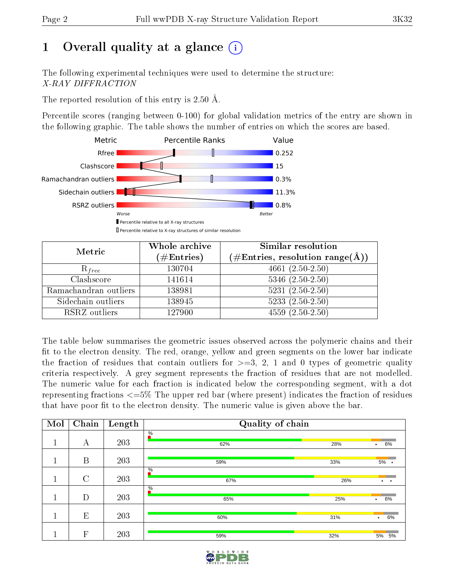# 1 [O](https://www.wwpdb.org/validation/2017/XrayValidationReportHelp#overall_quality)verall quality at a glance  $(i)$

The following experimental techniques were used to determine the structure: X-RAY DIFFRACTION

The reported resolution of this entry is 2.50 Å.

Percentile scores (ranging between 0-100) for global validation metrics of the entry are shown in the following graphic. The table shows the number of entries on which the scores are based.



| Metric                | Whole archive        | <b>Similar resolution</b>                                 |
|-----------------------|----------------------|-----------------------------------------------------------|
|                       | $(\#\text{Entries})$ | $(\#\text{Entries}, \text{resolution range}(\text{\AA}))$ |
| $R_{free}$            | 130704               | $4661(2.50-2.50)$                                         |
| Clashscore            | 141614               | $5346$ $(2.50-2.50)$                                      |
| Ramachandran outliers | 138981               | $5231 (2.50 - 2.50)$                                      |
| Sidechain outliers    | 138945               | $5233(2.50-2.50)$                                         |
| RSRZ outliers         | 127900               | $4559(2.50-2.50)$                                         |

The table below summarises the geometric issues observed across the polymeric chains and their fit to the electron density. The red, orange, yellow and green segments on the lower bar indicate the fraction of residues that contain outliers for  $>=3, 2, 1$  and 0 types of geometric quality criteria respectively. A grey segment represents the fraction of residues that are not modelled. The numeric value for each fraction is indicated below the corresponding segment, with a dot representing fractions  $\epsilon=5\%$  The upper red bar (where present) indicates the fraction of residues that have poor fit to the electron density. The numeric value is given above the bar.

| Mol | Chain          | Length | Quality of chain |     |                      |
|-----|----------------|--------|------------------|-----|----------------------|
|     | А              | 203    | $\frac{0}{6}$    |     |                      |
|     |                |        | 62%              | 28% | 6%<br>$\bullet$      |
| п   | B              | 203    | 59%              | 33% | $5%$ .               |
|     |                |        | $\%$             |     |                      |
|     | $\overline{C}$ | 203    | 67%              | 26% | $\cdot$<br>$\bullet$ |
|     | D              | 203    | $\%$<br>65%      | 25% | 6%                   |
|     |                |        |                  |     | $\bullet$            |
|     | E              | 203    | 60%              | 31% | 6%<br>$\bullet$      |
|     |                |        |                  |     |                      |
|     | $\mathbf{F}$   | 203    | 59%              | 32% | 5%<br>5%             |

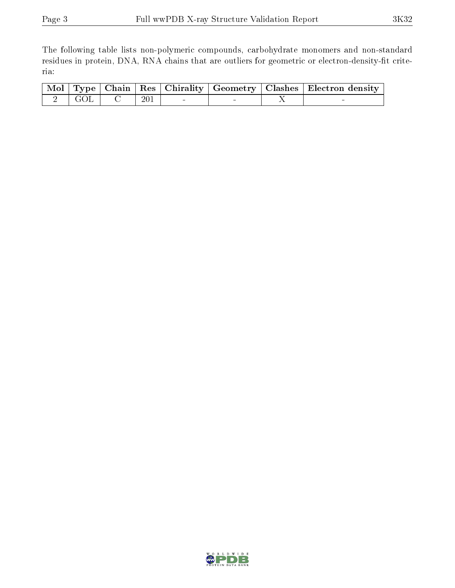The following table lists non-polymeric compounds, carbohydrate monomers and non-standard residues in protein, DNA, RNA chains that are outliers for geometric or electron-density-fit criteria:

|  |                                                                               |       |  | Mol Type Chain Res Chirality Geometry Clashes Electron density |
|--|-------------------------------------------------------------------------------|-------|--|----------------------------------------------------------------|
|  | $\begin{array}{ c c c c c }\n\hline\n2 & \text{GOL} & \text{C} & \end{array}$ | - 201 |  |                                                                |

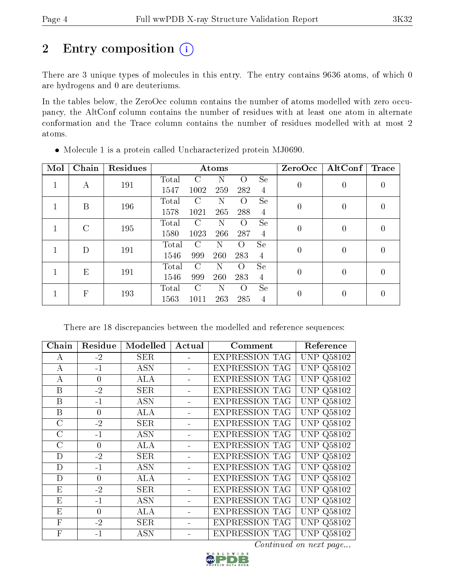# 2 Entry composition (i)

There are 3 unique types of molecules in this entry. The entry contains 9636 atoms, of which 0 are hydrogens and 0 are deuteriums.

In the tables below, the ZeroOcc column contains the number of atoms modelled with zero occupancy, the AltConf column contains the number of residues with at least one atom in alternate conformation and the Trace column contains the number of residues modelled with at most 2 atoms.

| Mol | Chain         | Residues |       |               | Atoms |                  |                | $\operatorname{ZeroOcc}$ | $\rm AltConf$  | Trace            |
|-----|---------------|----------|-------|---------------|-------|------------------|----------------|--------------------------|----------------|------------------|
|     | А             | 191      | Total | C             | Ν     | $\Omega$         | <b>Se</b>      | $\boldsymbol{0}$         | 0              | 0                |
|     |               |          | 1547  | 1002          | 259   | 282              | 4              |                          |                |                  |
|     | B             | 196      | Total | C             | Ν     | O                | <b>Se</b>      | $\overline{0}$           | $\theta$       | $\left( \right)$ |
|     |               |          | 1578  | 1021          | 265   | 288              | $\overline{4}$ |                          |                |                  |
|     | $\mathcal{C}$ | 195      | Total | $\mathcal{C}$ | N     | $\Omega$         | Se             | $\overline{0}$           | $\overline{0}$ | 0                |
|     |               |          | 1580  | 1023          | 266   | 287              | $\overline{4}$ |                          |                |                  |
|     | D             | 191      | Total | C             | Ν     | $\Omega$         | <b>Se</b>      | $\boldsymbol{0}$         | $\theta$       | 0                |
|     |               |          | 1546  | 999           | 260   | 283              | 4              |                          |                |                  |
|     | E             | 191      | Total | $\mathcal{C}$ | Ν     | $\left( \right)$ | <b>Se</b>      | $\theta$                 | $\theta$       | 0                |
|     |               |          | 1546  | 999           | 260   | 283              | 4              |                          |                |                  |
|     | F             | 193      | Total | $\mathcal{C}$ | N     | $\Omega$         | Se             | $\overline{0}$           | $\theta$       | 0                |
|     |               |          | 1563  | 1011          | 263   | 285              | 4              |                          |                |                  |

Molecule 1 is a protein called Uncharacterized protein MJ0690.

There are 18 discrepancies between the modelled and reference sequences:

| Chain            | Residue  | Modelled   | Actual | Comment               | Reference            |
|------------------|----------|------------|--------|-----------------------|----------------------|
| A                | $-2$     | <b>SER</b> |        | <b>EXPRESSION TAG</b> | Q58102<br>UNP.       |
| $\boldsymbol{A}$ | $-1$     | <b>ASN</b> |        | <b>EXPRESSION TAG</b> | Q58102<br>UNP        |
| А                | $\theta$ | <b>ALA</b> |        | <b>EXPRESSION TAG</b> | Q58102<br><b>UNP</b> |
| B                | $-2$     | <b>SER</b> |        | <b>EXPRESSION TAG</b> | Q58102<br>UNP        |
| B                | $-1$     | <b>ASN</b> |        | <b>EXPRESSION TAG</b> | <b>UNP</b><br>Q58102 |
| B                | $\theta$ | ALA        |        | <b>EXPRESSION TAG</b> | <b>UNP</b><br>Q58102 |
| $\mathcal{C}$    | $-2$     | <b>SER</b> |        | <b>EXPRESSION TAG</b> | UNP<br>Q58102        |
| $\rm C$          | $-1$     | <b>ASN</b> |        | <b>EXPRESSION TAG</b> | Q58102<br>UNP        |
| $\rm C$          | $\theta$ | ALA        |        | <b>EXPRESSION TAG</b> | UNP.<br>Q58102       |
| D                | $-2$     | <b>SER</b> |        | <b>EXPRESSION TAG</b> | <b>UNP Q58102</b>    |
| D                | $-1$     | <b>ASN</b> |        | <b>EXPRESSION TAG</b> | UNP<br>Q58102        |
| D                | $\theta$ | ALA        |        | <b>EXPRESSION TAG</b> | <b>UNP</b><br>Q58102 |
| E                | $-2$     | <b>SER</b> |        | <b>EXPRESSION TAG</b> | Q58102<br>UNP        |
| E                | $-1$     | <b>ASN</b> |        | <b>EXPRESSION TAG</b> | <b>UNP</b><br>Q58102 |
| E                | $\theta$ | <b>ALA</b> |        | <b>EXPRESSION TAG</b> | Q58102<br>UNP        |
| $\mathbf{F}$     | $-2$     | <b>SER</b> |        | <b>EXPRESSION TAG</b> | Q58102<br><b>UNP</b> |
| $\mathbf{F}$     | -1       | <b>ASN</b> |        | <b>EXPRESSION TAG</b> | UNP<br>Q58102        |

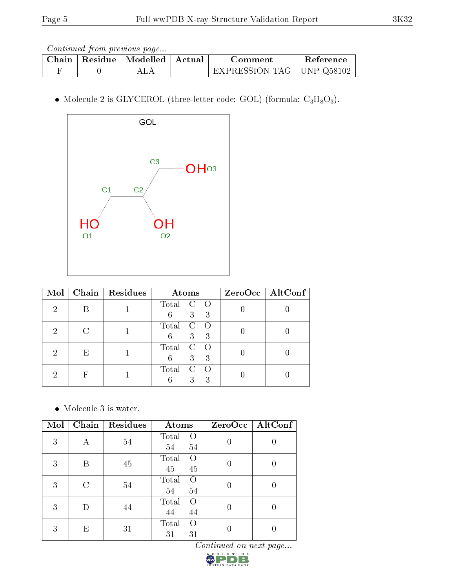| Chain | Residue   Modelled   Actual | Comment                     | Reference |
|-------|-----------------------------|-----------------------------|-----------|
|       |                             | EXPRESSION TAG   UNP Q58102 |           |

 $\bullet$  Molecule 2 is GLYCEROL (three-letter code: GOL) (formula:  $\rm{C_3H_8O_3}).$ 



| $\bf{Mol}$     | Chain | Residues | Atoms                                                  | ZeroOcc   AltConf |
|----------------|-------|----------|--------------------------------------------------------|-------------------|
| $\overline{2}$ |       |          | Total<br>$\circ$ O<br>3 <sup>2</sup><br>6<br>-3        |                   |
| $\mathcal{D}$  | C     |          | Total<br><sup>C</sup><br>$\overline{O}$<br>3<br>6<br>3 |                   |
| റ              | E     |          | Total<br>$\mathcal{C}$<br>3<br>6<br>3                  |                   |
| റ              | F     |          | Total<br>$\bigcap$<br>3<br>3                           |                   |

Molecule 3 is water.

| Mol | Chain | Residues | Atoms                                 | ZeroOcc | $\operatorname{AltConf}$ |
|-----|-------|----------|---------------------------------------|---------|--------------------------|
| 3   | А     | 54       | Total<br>$\left( \right)$<br>54<br>54 |         |                          |
| 3   | В     | 45       | Total<br>$\left( \right)$<br>45<br>45 | 0       | O                        |
| 3   | C     | 54       | Total<br>$\left( \right)$<br>54<br>54 |         |                          |
| 3   |       | 44       | Total<br>$\Omega$<br>44<br>44         |         |                          |
| 3   | E     | 31       | Total<br>$\Omega$<br>31<br>31         |         |                          |

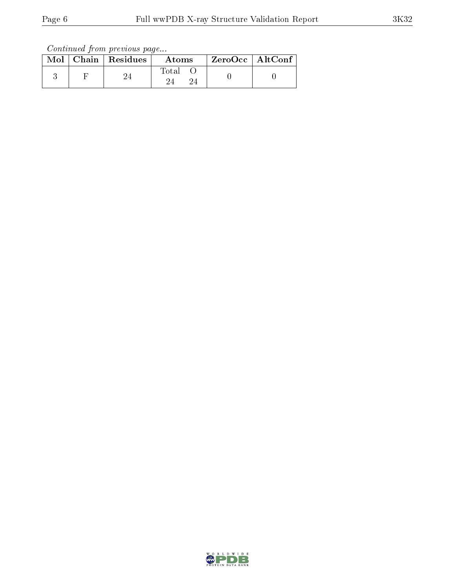|  | $\text{Mol}$   Chain   Residues | Atoms | ZeroOcc   AltConf |  |
|--|---------------------------------|-------|-------------------|--|
|  |                                 | Total |                   |  |

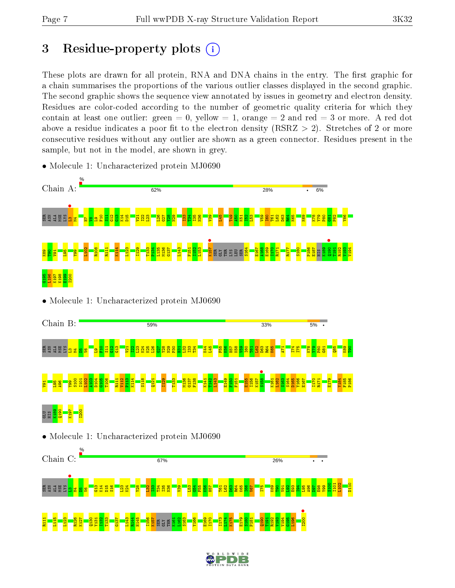P186

# 3 Residue-property plots  $(i)$

These plots are drawn for all protein, RNA and DNA chains in the entry. The first graphic for a chain summarises the proportions of the various outlier classes displayed in the second graphic. The second graphic shows the sequence view annotated by issues in geometry and electron density. Residues are color-coded according to the number of geometric quality criteria for which they contain at least one outlier: green  $= 0$ , yellow  $= 1$ , orange  $= 2$  and red  $= 3$  or more. A red dot above a residue indicates a poor fit to the electron density (RSRZ  $> 2$ ). Stretches of 2 or more consecutive residues without any outlier are shown as a green connector. Residues present in the sample, but not in the model, are shown in grey.



• Molecule 1: Uncharacterized protein MJ0690



#### GLU HIS K189 Q190 K197 I200

• Molecule 1: Uncharacterized protein MJ0690



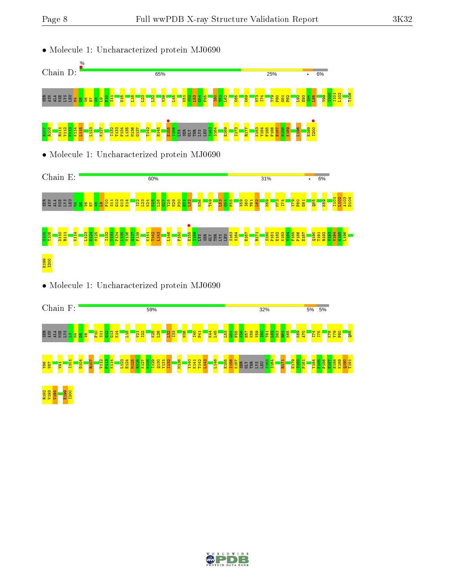

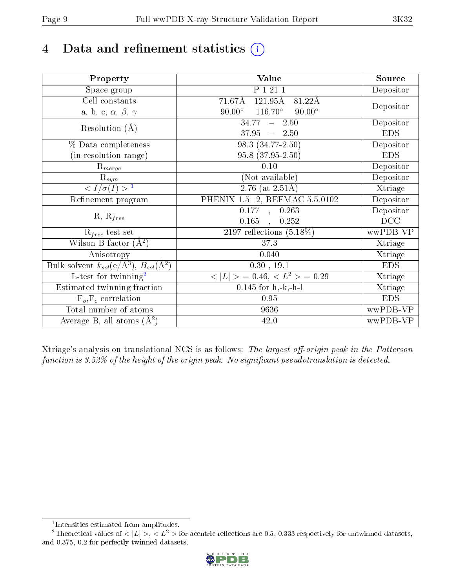# 4 Data and refinement statistics  $(i)$

| Property                                                      | Value                                                                   | Source     |
|---------------------------------------------------------------|-------------------------------------------------------------------------|------------|
| Space group                                                   | P 1 21 1                                                                | Depositor  |
| Cell constants                                                | $121.95\overline{\mathrm{A}}$<br>$71.67\text{\AA}$<br>$81.22\text{\AA}$ |            |
| a, b, c, $\alpha$ , $\beta$ , $\gamma$                        | $116.70^\circ$<br>$90.00^\circ$<br>$90.00^\circ$                        | Depositor  |
| Resolution $(A)$                                              | 34.77<br>$-2.50$                                                        | Depositor  |
|                                                               | 37.95<br>$-2.50$                                                        | <b>EDS</b> |
| % Data completeness                                           | 98.3 (34.77-2.50)                                                       | Depositor  |
| (in resolution range)                                         | 95.8 (37.95-2.50)                                                       | <b>EDS</b> |
| $R_{merge}$                                                   | $0.10\,$                                                                | Depositor  |
| $\mathrm{R}_{sym}$                                            | (Not available)                                                         | Depositor  |
| $\langle I/\sigma(I) \rangle^{-1}$                            | $2.76$ (at $2.51\text{\AA}$ )                                           | Xtriage    |
| Refinement program                                            | PHENIX 1.5 2, REFMAC 5.5.0102                                           | Depositor  |
|                                                               | $\overline{0.177}$ ,<br>0.263                                           | Depositor  |
| $R, R_{free}$                                                 | 0.165<br>0.252<br>$\overline{\phantom{a}}$                              | DCC        |
| $\mathcal{R}_{free}$ test set                                 | 2197 reflections $(5.18\%)$                                             | wwPDB-VP   |
| Wilson B-factor $(A^2)$                                       | 37.3                                                                    | Xtriage    |
| Anisotropy                                                    | 0.040                                                                   | Xtriage    |
| Bulk solvent $k_{sol}(e/\text{\AA}^3), B_{sol}(\text{\AA}^2)$ | 0.30, 19.1                                                              | <b>EDS</b> |
| L-test for twinning <sup>2</sup>                              | $< L >$ = 0.46, $< L2 >$ = 0.29                                         | Xtriage    |
| Estimated twinning fraction                                   | $0.145$ for h,-k,-h-l                                                   | Xtriage    |
| $F_o, F_c$ correlation                                        | 0.95                                                                    | <b>EDS</b> |
| Total number of atoms                                         | 9636                                                                    | wwPDB-VP   |
| Average B, all atoms $(A^2)$                                  | 42.0                                                                    | wwPDB-VP   |

Xtriage's analysis on translational NCS is as follows: The largest off-origin peak in the Patterson function is  $3.52\%$  of the height of the origin peak. No significant pseudotranslation is detected.

<sup>&</sup>lt;sup>2</sup>Theoretical values of  $\langle |L| \rangle$ ,  $\langle L^2 \rangle$  for acentric reflections are 0.5, 0.333 respectively for untwinned datasets, and 0.375, 0.2 for perfectly twinned datasets.



<span id="page-8-1"></span><span id="page-8-0"></span><sup>1</sup> Intensities estimated from amplitudes.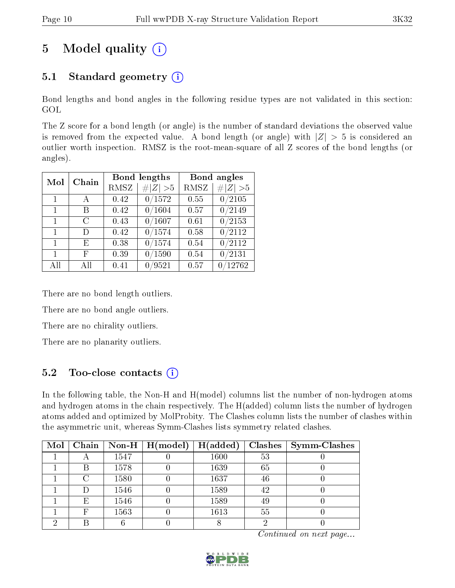# 5 Model quality  $(i)$

## 5.1 Standard geometry  $(i)$

Bond lengths and bond angles in the following residue types are not validated in this section: GOL

The Z score for a bond length (or angle) is the number of standard deviations the observed value is removed from the expected value. A bond length (or angle) with  $|Z| > 5$  is considered an outlier worth inspection. RMSZ is the root-mean-square of all Z scores of the bond lengths (or angles).

| Mol          | Chain | <b>Bond lengths</b> |             | Bond angles |                     |
|--------------|-------|---------------------|-------------|-------------|---------------------|
|              |       | RMSZ                | # $ Z  > 5$ | RMSZ        | Z   > 5             |
| 1            | A     | 0.42                | 0/1572      | 0.55        | 0/2105              |
| $\mathbf{1}$ | В     | 0.42                | 0/1604      | 0.57        | $\frac{0}{2149}$    |
| 1            | C     | 0.43                | 0/1607      | 0.61        | $\overline{0}/2153$ |
| $\mathbf{1}$ | D)    | 0.42                | 0/1574      | 0.58        | $\frac{0}{2112}$    |
| $\mathbf{1}$ | E     | 0.38                | 0/1574      | 0.54        | 0/2112              |
| 1            | F     | 0.39                | 0/1590      | 0.54        | 0/2131              |
| All          | ΑH    | 0.41                | 0/9521      | 0.57        | $\sqrt{12762}$      |

There are no bond length outliers.

There are no bond angle outliers.

There are no chirality outliers.

There are no planarity outliers.

### 5.2 Too-close contacts  $\overline{()}$

In the following table, the Non-H and H(model) columns list the number of non-hydrogen atoms and hydrogen atoms in the chain respectively. The H(added) column lists the number of hydrogen atoms added and optimized by MolProbity. The Clashes column lists the number of clashes within the asymmetric unit, whereas Symm-Clashes lists symmetry related clashes.

| Mol |   |      | Chain   Non-H $\mid$ H(model) | H(added) |    | Clashes   Symm-Clashes |
|-----|---|------|-------------------------------|----------|----|------------------------|
|     |   | 1547 |                               | 1600     | 53 |                        |
|     | В | 1578 |                               | 1639     | 65 |                        |
|     | ∩ | 1580 |                               | 1637     | 46 |                        |
|     |   | 1546 |                               | 1589     | 42 |                        |
|     | Ε | 1546 |                               | 1589     | 49 |                        |
|     | F | 1563 |                               | 1613     | 55 |                        |
| ച   | R |      |                               |          |    |                        |

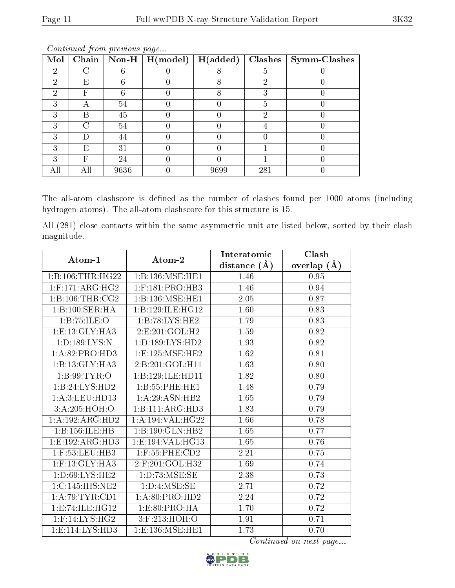| Mol | Chain |      | $\boxed{\text{Non-H}\ \boxed{\text{H}(\text{model})}}$ | H(added) | Clashes | <b>Symm-Clashes</b> |
|-----|-------|------|--------------------------------------------------------|----------|---------|---------------------|
| 9   |       |      |                                                        |          | ð       |                     |
| റ   | Е     |      |                                                        |          | 6)      |                     |
|     | F     |      |                                                        |          |         |                     |
| ົ   |       | 54   |                                                        |          | 5       |                     |
| 3   | В     | 45   |                                                        |          | 2       |                     |
|     |       | 54   |                                                        |          |         |                     |
|     |       | 44   |                                                        |          |         |                     |
| 2   | Е     | 31   |                                                        |          |         |                     |
|     | H,    | 24   |                                                        |          |         |                     |
| All |       | 9636 |                                                        | 9699     | 281     |                     |

The all-atom clashscore is defined as the number of clashes found per 1000 atoms (including hydrogen atoms). The all-atom clashscore for this structure is 15.

All (281) close contacts within the same asymmetric unit are listed below, sorted by their clash magnitude.

| Atom-1                          | Atom-2                           | Interatomic    | Clash         |
|---------------------------------|----------------------------------|----------------|---------------|
|                                 |                                  | distance $(A)$ | overlap $(A)$ |
| 1:B:106:THR:HG22                | 1: B: 136: MSE: HE1              | 1.46           | 0.95          |
| $1:$ F:171:ARG:HG2              | $1:$ F:181:PRO: $\overline{HB3}$ | 1.46           | 0.94          |
| 1:B:106:THR:CG2                 | 1:B:136:MSE:HE1                  | 2.05           | 0.87          |
| 1:B:100:SER:HA                  | 1:B:129:ILE:HG12                 | 1.60           | 0.83          |
| 1:B:75:ILE:O                    | 1:B:78:LYS:HE2                   | 1.79           | 0.83          |
| 1: E: 13: GLY: HA3              | 2: E:201: GOL: H2                | 1.59           | 0.82          |
| 1: D: 189: LYS:N                | 1: D: 189: LYS: HD2              | 1.93           | 0.82          |
| 1:A:82:PRO:HD3                  | 1:E:125:MSE:HE2                  | 1.62           | 0.81          |
| 1:B:13:GLY:HA3                  | 2:B:201:GOL:H11                  | 1.63           | 0.80          |
| 1: B:99: TYR:O                  | 1:B:129:ILE:HD11                 | 1.82           | 0.80          |
| 1:B:24:LYS:HD2                  | 1:B:55:PHE:HE1                   | 1.48           | 0.79          |
| 1:A:3:LEU:HD13                  | 1:A:29:ASN:HB2                   | 1.65           | 0.79          |
| 3: A:205: HOH:O                 | 1:B:111:ARG:HD3                  | 1.83           | 0.79          |
| 1:A:192:ARG:HD2                 | 1: A:194: VAL:HG22               | 1.66           | 0.78          |
| 1:B:156:ILE:HB                  | 1:B:190:GLN:HB2                  | 1.65           | 0.77          |
| 1:E:192:ARG:HD3                 | 1:E:194:VAL:HG13                 | 1.65           | 0.76          |
| 1:F:53:LEU:HB3                  | $1:$ F:55:PHE:CD2                | 2.21           | 0.75          |
| $1:$ F:13:GLY:HA3               | 2:F:201:GOL:H32                  | 1.69           | 0.74          |
| 1: D:69: LYS: HE2               | 1: D: 73: MSE: SE                | 2.38           | 0.73          |
| 1:C:145:HIS:NE2                 | 1: D: 4: MSE: SE                 | 2.71           | 0.72          |
| 1: A:79:TYR:CD1                 | 1: A:80: PRO:HD2                 | 2.24           | 0.72          |
| 1:E:74:ILE:HG12                 | 1:E:80:PRO:HA                    | 1.70           | 0.72          |
| $1:$ F:14:LYS:HG2               | 3:F:213:HOH:O                    | 1.91           | 0.71          |
| 1: E: 114: LYS: H <sub>D3</sub> | 1:E:136:MSE:HE1                  | 1.73           | 0.70          |

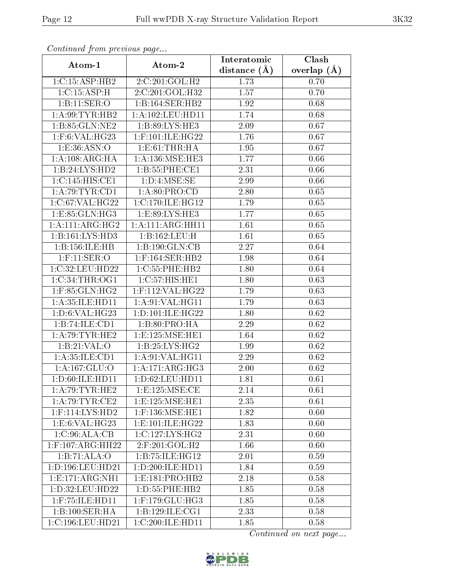| Comunaca jiom previous page     |                          | Interatomic       | Clash           |
|---------------------------------|--------------------------|-------------------|-----------------|
| Atom-1                          | Atom-2<br>distance $(A)$ |                   | overlap $(\AA)$ |
| 1:C:15:ASP:HB2                  | 2:C:201:GOL:H2           | 1.73              | 0.70            |
| 1:C:15:ASP:H                    | 2:C:201:GOL:H32          | 1.57              | 0.70            |
| 1:B:11:SER:O                    | 1:B:164:SER:HB2          | 1.92              | 0.68            |
| 1: A:99: TYR: HB2               | 1: A: 102: LEU: HD11     | 1.74              | 0.68            |
| 1:B:85:GLN:NE2                  | 1:B:89:LYS:HE3           | 2.09              | 0.67            |
| 1:F:6:VAL:HG23                  | $1:$ F:101:ILE:HG22      | 1.76              | 0.67            |
| 1:E:36:ASN:O                    | 1: E:61:THR:HA           | 1.95              | 0.67            |
| 1:A:108:ARG:HA                  | 1: A: 136: MSE: HE3      | 1.77              | 0.66            |
| 1:B:24:LYS:HD2                  | 1:B:55:PHE:CE1           | 2.31              | 0.66            |
| 1:C:145:HIS:CE1                 | 1: D: 4: MSE: SE         | 2.99              | 0.66            |
| 1: A:79:TYR:CD1                 | 1: A:80: PRO:CD          | 2.80              | 0.65            |
| 1:C:67:VAL:HG22                 | 1:C:170:ILE:HG12         | 1.79              | 0.65            |
| 1:E:85:GLN:HG3                  | 1:E:89:LYS:HE3           | 1.77              | 0.65            |
| 1:A:111:ARG:HG2                 | 1:A:111:ARG:HH11         | 1.61              | 0.65            |
| 1:B:161:LYS:HD3                 | 1:B:162:LEU:H            | 1.61              | 0.65            |
| 1:B:156:ILE:HB                  | 1:B:190:GLN:CB           | 2.27              | 0.64            |
| $1:$ F:11:SER:O                 | $1:$ F:164:SER:HB2       | 1.98              | 0.64            |
| 1:C:32:LEU:HD22                 | 1:C:55:PHE:HB2           | 1.80              | 0.64            |
| 1:C:34:THR:OG1                  | 1:C:57:HIS:HE1           | 1.80              | 0.63            |
| $1:$ F:85:GLN:HG2               | 1:F:112:VAL:HG22         | 1.79              | 0.63            |
| 1: A:35: ILE: HD11              | 1: A:91: VAL: HG11       | 1.79              | 0.63            |
| 1:D:6:VAL:HG23                  | 1: D: 101: ILE: HG22     | 1.80              | 0.62            |
| 1:B:74:ILE:CD1                  | 1:B:80:PRO:HA            | 2.29              | 0.62            |
| 1: A:79:TYR:HE2                 | 1:E:125:MSE:HE1          | 1.64              | 0.62            |
| 1: B:21: VAL:O                  | 1:B:25:LYS:HG2           | 1.99              | 0.62            |
| 1: A: 35: ILE: CD1              | 1:A:91:VAL:HG11          | $\overline{2.29}$ | 0.62            |
| 1:A:167:GLU:O                   | 1:A:171:ARG:HG3          | 2.00              | 0.62            |
| $1: D:60: ILE: HD\overline{11}$ | 1:D:62:LEU:HD11          | 1.81              | 0.61            |
| 1: A:79:TYR:HE2                 | 1:E:125:MSE:CE           | 2.14              | 0.61            |
| 1: A:79:TYR:CE2                 | 1:E:125:MSE:HE1          | 2.35              | 0.61            |
| 1:F:114:LYS:HD2                 | $1:$ F:136:MSE:HE1       | 1.82              | 0.60            |
| 1:E:6:VAL:HG23                  | 1: E: 101: ILE: HG22     | 1.83              | 0.60            |
| 1:C:96:ALA:CB                   | 1:C:127:LYS:HG2          | 2.31              | 0.60            |
| $1:$ F:107:ARG:HH22             | 2:F:201:GOL:H2           | 1.66              | 0.60            |
| 1:B:71:ALA:O                    | 1:B:75:ILE:HG12          | 2.01              | 0.59            |
| 1:D:196:LEU:HD21                | 1:D:200:ILE:HD11         | 1.84              | 0.59            |
| 1: E: 171: ARG: NH1             | 1: E: 181: PRO: HB2      | 2.18              | 0.58            |
| 1:D:32:LEU:HD22                 | 1:D:55:PHE:HB2           | 1.85              | 0.58            |
| $1:$ F:75:ILE:HD $11$           | $1:$ F:179:GLU:HG3       | 1.85              | 0.58            |
| $1:B:100:SER:H\overline{A}$     | 1:B:129:ILE:CG1          | 2.33              | 0.58            |
| 1:C:196:LEU:HD21                | 1:C:200:ILE:HD11         | 1.85              | 0.58            |

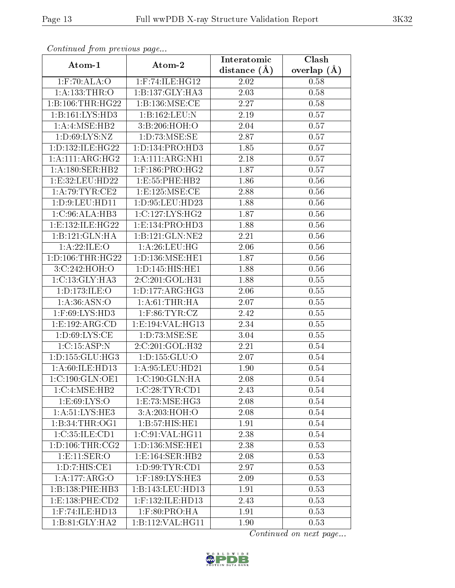| Commuca from previous page |                                        | Interatomic       | Clash           |  |
|----------------------------|----------------------------------------|-------------------|-----------------|--|
| Atom-1                     | Atom-2<br>distance $(A)$               |                   | overlap $(\AA)$ |  |
| $1:$ F:70:ALA:O            | $1:$ F:74:ILE:HG12                     | 2.02              | 0.58            |  |
| 1: A: 133: THR: O          | 1:B:137:GLY:HA3                        | $\overline{2.03}$ | 0.58            |  |
| 1: B: 106: THR: HG22       | 1:B:136:MSE:CE                         | 2.27              | 0.58            |  |
| 1:B:161:LYS:HD3            | 1:B:162:LEU:N                          | 2.19              | 0.57            |  |
| 1: A:4: MSE: HB2           | 3:B:206:HOH:O                          | $2.04\,$          | 0.57            |  |
| 1: D:69: LYS: NZ           | 1: D: 73: MSE: SE                      | 2.87              | 0.57            |  |
| 1: D: 132: ILE: HG22       | 1: D: 134: PRO: HD3                    | 1.85              | 0.57            |  |
| 1: A:111: ARG:HG2          | 1: A:111: ARG:NH1                      | 2.18              | 0.57            |  |
| 1:A:180:SER:HB2            | $1:$ F:186:PRO:HG2                     | 1.87              | 0.57            |  |
| 1:E:32:LEU:HD22            | 1: E: 55: PHE: HB2                     | 1.86              | 0.56            |  |
| 1:A:79:TYR:CE2             | 1:E:125:MSE:CE                         | 2.88              | 0.56            |  |
| 1: D: 9: LEU: HD11         | 1: D: 95: LEU: HD23                    | 1.88              | 0.56            |  |
| 1:C:96:ALA:HB3             | 1:C:127:LYS:HG2                        | 1.87              | 0.56            |  |
| 1:E:132:ILE:HG22           | 1: E: 134: PRO: HD3                    | 1.88              | 0.56            |  |
| 1:B:121:GLN:HA             | 1:B:121:GLN:NE2                        | 2.21              | 0.56            |  |
| 1: A:22: ILE: O            | 1: A:26:LEU:HG                         | 2.06              | 0.56            |  |
| 1: D: 106: THR: HG22       | 1:D:136:MSE:HE1                        | 1.87              | $0.56\,$        |  |
| 3:C:242:HOH:O              | 1:D:145:HIS:HE1                        | 1.88              | 0.56            |  |
| 1:C:13:CLY:HA3             | 2:C:201:GOL:H31                        | 1.88              | 0.55            |  |
| 1: D: 173: ILE: O          | 1: D: 177: ARG: HG3                    | 2.06              | 0.55            |  |
| 1: A:36: ASN:O             | 1: A:61:THR:HA                         | 2.07              | 0.55            |  |
| 1:F:69:LYS:HD3             | $1:$ F:86:TYR:CZ                       | 2.42              | 0.55            |  |
| 1:E:192:ARG:CD             | 1:E:194:VAL:HG13                       | 2.34              | 0.55            |  |
| 1: D:69: LYS:CE            | 1: D: 73: MSE: SE                      | 3.04              | 0.55            |  |
| 1:C:15:ASP:N               | 2:C:201:GOL:H32                        | 2.21              | 0.54            |  |
| 1: D: 155: GLU: HG3        | 1:D:155:GLU:O                          | 2.07              | 0.54            |  |
| 1:A:60:ILE:HD13            | 1: A:95: LEU:HD21                      | 1.90              | 0.54            |  |
| 1:C:190:GLN:OF1            | $1:\!C\!:\!190:\!GLN:\!\overline{HA}$  | 2.08              | 0.54            |  |
| 1:C:4:MSE:HB2              | 1:C:28:TYR:CD1                         | 2.43              | 0.54            |  |
| 1: E:69: LYS:O             | $1: E: 73: \widetilde{\text{MSE}:HG3}$ | 2.08              | 0.54            |  |
| 1: A: 51: LYS: HE3         | 3:A:203:HOH:O                          | 2.08              | 0.54            |  |
| 1:B:34:THR:OG1             | 1:B:57:HIS:HET                         | 1.91              | 0.54            |  |
| 1:C:35:ILE:CD1             | 1:C:91:VAL:HG11                        | 2.38              | 0.54            |  |
| 1: D: 106: THR: CG2        | 1: D: 136: MSE: HE1                    | 2.38              | 0.53            |  |
| 1:E:11:SER:O               | 1:E:164:SER:HB2                        | 2.08              | 0.53            |  |
| 1: D: 7: HIS: CE1          | 1: D:99: TYR: CD1                      | 2.97              | 0.53            |  |
| 1:A:177:ARG:O              | 1:F:189:LYS:HE3                        | 2.09              | 0.53            |  |
| 1:B:138:PHE:HB3            | 1:B:143:LEU:HD13                       | 1.91              | 0.53            |  |
| 1: E: 138: PHE: CD2        | 1:F:132:ILE:HD13                       | 2.43              | 0.53            |  |
| 1:F:74:ILE:HD13            | $1:$ F:80:PRO:HA                       | 1.91              | 0.53            |  |
| 1:B:81:GLY:HA2             | 1:B:112:VAL:HG11                       | 1.90              | 0.53            |  |

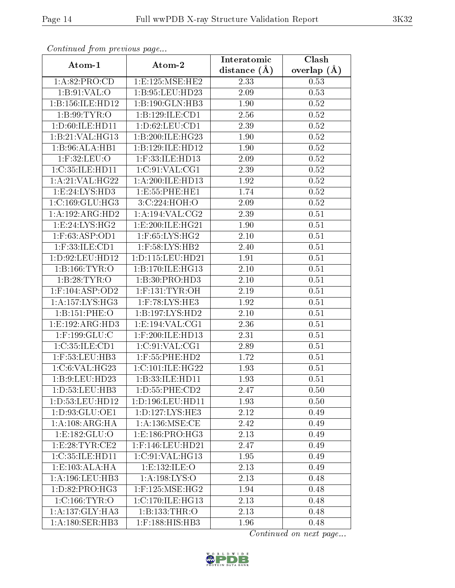| Continuea from previous page  |                            | Interatomic | Clash         |  |
|-------------------------------|----------------------------|-------------|---------------|--|
| Atom-1                        | Atom-2<br>distance $(\AA)$ |             | overlap $(A)$ |  |
| 1:A:82:PRO:CD                 | 1:E:125:MSE:HE2            | 2.33        | 0.53          |  |
| 1: B:91: VAL:O                | 1:B:95:LEU:HD23            | 2.09        | 0.53          |  |
| 1:B:156:ILE:HD12              | 1: B: 190: GLN: HB3        | 1.90        | 0.52          |  |
| 1: B:99: TYR:O                | 1:B:129:ILE:CD1            | 2.56        | 0.52          |  |
| 1: D:60: ILE: HD11            | 1: D:62: LEU: CD1          | 2.39        | 0.52          |  |
| 1:B:21:VAL:HG13               | 1:B:200:ILE:HG23           | 1.90        | 0.52          |  |
| 1:B:96:ALA:HB1                | 1:B:129:ILE:HD12           | 1.90        | 0.52          |  |
| $1:$ F:32:LEU:O               | 1:F:33:ILE:HD13            | 2.09        | 0.52          |  |
| 1:C:35:ILE:HD11               | 1:C:91:VAL:CG1             | 2.39        | 0.52          |  |
| 1: A:21: VAL:HG22             | 1: A:200: ILE: HD13        | 1.92        | 0.52          |  |
| 1:E:24:LYS:HD3                | 1: E: 55: PHE: HE1         | 1.74        | 0.52          |  |
| 1:C:169:GLU:HG3               | 3:C:224:HOH:O              | 2.09        | 0.52          |  |
| 1:A:192:ARG:HD2               | 1: A: 194: VAL: CG2        | 2.39        | 0.51          |  |
| 1:E:24:LYS:HG2                | 1:E:200:ILE:HG21           | 1.90        | 0.51          |  |
| 1:F:63:ASP:OD1                | 1:F:65:LYS:HG2             | 2.10        | 0.51          |  |
| $1:$ F:33:ILE: $CD1$          | $1:$ F:58:LYS:HB2          | 2.40        | 0.51          |  |
| 1: D:92: LEU: HD12            | 1: D: 115: LEU: HD21       | 1.91        | 0.51          |  |
| 1: B: 166: TYR: O             | 1:B:170:ILE:HG13           | 2.10        | $0.51\,$      |  |
| 1:B:28:TYR:O                  | 1:B:30:PRO:HD3             | 2.10        | 0.51          |  |
| $1:$ F:104:ASP:OD2            | $1:$ F:131:TYR:OH          | 2.19        | 0.51          |  |
| 1: A: 157: LYS: HG3           | $1:$ F:78:LYS:HE3          | 1.92        | 0.51          |  |
| 1:B:151:PHE:O                 | 1:B:197:LYS:HD2            | 2.10        | 0.51          |  |
| 1:E:192:ARG:HD3               | 1:E:194:VAL:CG1            | 2.36        | 0.51          |  |
| $1:$ F:199: $GLU$ :C          | 1:F:200:ILE:HD13           | 2.31        | 0.51          |  |
| 1: C: 35: ILE: CD1            | 1: C:91: VAL:CG1           | 2.89        | 0.51          |  |
| 1:F:53:LEU:HB3                | 1:F:55:PHE:HD2             | 1.72        | 0.51          |  |
| 1:C:6:VAL:HG23                | 1:C:101:ILE:HG22           | 1.93        | 0.51          |  |
| 1:B:9:LEU:HD23                | 1:B:33:ILE:HD11            | 1.93        | 0.51          |  |
| 1: D: 53: LEU: HB3            | 1:D:55:PHE:CD2             | 2.47        | 0.50          |  |
| 1: D: 53: LEU: HD12           | 1: D: 196: LEU: HD11       | 1.93        | 0.50          |  |
| 1: D: 93: GLU: OE1            | 1: D: 127: LYS: HE3        | 2.12        | 0.49          |  |
| 1:A:108:ARG:HA                | 1: A: 136: MSE: CE         | 2.42        | 0.49          |  |
| 1:E:182:GLU:O                 | 1: E: 186: PRO:HG3         | 2.13        | 0.49          |  |
| 1:E:28:TYR:CE2                | 1:F:146:LEU:HD21           | 2.47        | 0.49          |  |
| 1:C:35:ILE:HD11               | 1:C:91:VAL:HG13            | 1.95        | 0.49          |  |
| 1: E: 103: ALA: HA            | 1:E:132:ILE:O              | 2.13        | 0.49          |  |
| 1: A: 196: LEU: HB3           | 1: A: 198: LYS: O          | 2.13        | 0.48          |  |
| $1: D:82: P\overline{RO:HG3}$ | $1:$ F:125:MSE:HG2         | 1.94        | 0.48          |  |
| 1:C:166:TYR:O                 | 1:C:170:ILE:HG13           | 2.13        | 0.48          |  |
| 1: A: 137: GLY: HA3           | 1:B:133:THR:O              | 2.13        | 0.48          |  |
| 1: A: 180: SER: HB3           | 1:F:188:HIS:HB3            | 1.96        | 0.48          |  |

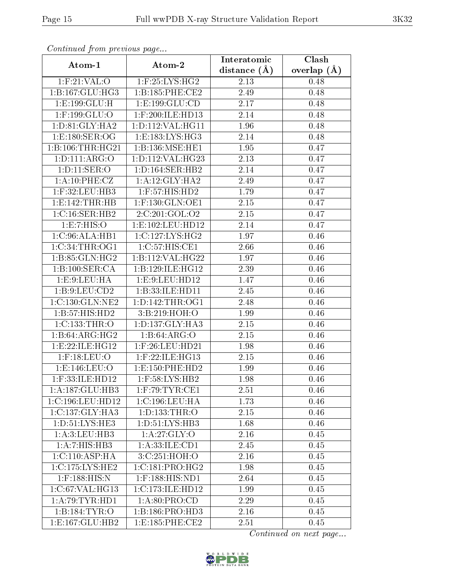| Continuea from previous page    |                      | Interatomic      | Clash         |  |
|---------------------------------|----------------------|------------------|---------------|--|
| Atom-1                          | Atom-2               | distance $(\AA)$ | overlap $(A)$ |  |
| $1:$ F:21:VAL:O                 | $1:$ F:25:LYS:HG2    | 2.13             | 0.48          |  |
| 1: B: 167: GLU: HG3             | 1:B:185:PHE:CE2      | 2.49             | 0.48          |  |
| $1: E: 199: GLU: \overline{H}$  | 1: E: 199: GLU: CD   | 2.17             | 0.48          |  |
| 1:F:199:GLU:O                   | 1:F:200:ILE:HD13     | 2.14             | 0.48          |  |
| 1: D:81: GLY:HA2                | 1:D:112:VAL:HG11     | 1.96             | 0.48          |  |
| $1: E:180: SER: \overline{OG}$  | 1:E:183:LYS:HG3      | 2.14             | 0.48          |  |
| 1:B:106:THR:HG21                | 1:B:136:MSE:HE1      | 1.95             | 0.47          |  |
| 1: D: 111: ARG: O               | 1: D: 112: VAL: HG23 | 2.13             | 0.47          |  |
| 1: D: 11: SER: O                | 1: D: 164: SER: HB2  | 2.14             | 0.47          |  |
| 1: A: 10: PHE: CZ               | 1: A:12: GLY: HA2    | 2.49             | 0.47          |  |
| $1:$ F:32:LEU:HB3               | $1:$ F:57:HIS:HD2    | 1.79             | 0.47          |  |
| 1: E: 142: THR: HB              | $1:$ F:130:GLN:OE1   | 2.15             | 0.47          |  |
| 1:C:16:SER:HB2                  | 2:C:201:GOL:O2       | 2.15             | 0.47          |  |
| 1:E:7:HIS:O                     | 1:E:102:LEU:HD12     | 2.14             | 0.47          |  |
| 1:C:96:ALA:HB1                  | 1:C:127:LYS:HG2      | 1.97             | 0.46          |  |
| 1:C:34:THR:OG1                  | 1:C:57:HIS:CE1       | 2.66             | 0.46          |  |
| 1:B:85:GLN:HG2                  | 1:B:112:VAL:HG22     | 1.97             | 0.46          |  |
| 1:B:100:SER:CA                  | 1:B:129:ILE:HG12     | 2.39             | 0.46          |  |
| 1: E: 9: LEU: HA                | 1:E:9:LEU:HD12       | 1.47             | 0.46          |  |
| 1: B: 9: LEU: CD2               | 1:B:33:ILE:HD11      | 2.45             | 0.46          |  |
| 1:C:130:GLN:NE2                 | 1: D: 142: THR: OG1  | 2.48             | 0.46          |  |
| 1:B:57:HIS:HD2                  | 3:B:219:HOH:O        | 1.99             | 0.46          |  |
| 1:C:133:THR:O                   | 1: D: 137: GLY: HA3  | 2.15             | 0.46          |  |
| 1:B:64:ARG:HG2                  | 1: B:64: ARG:O       | 2.15             | 0.46          |  |
| 1:E:22:ILE:HG12                 | $1:$ F:26:LEU:HD21   | 1.98             | 0.46          |  |
| $1:$ F:18:LEU:O                 | $1:$ F:22:ILE:HG13   | 2.15             | 0.46          |  |
| 1:E:146:LEU:O                   | 1: E: 150: PHE: HD2  | 1.99             | 0.46          |  |
| $1:$ F:33:ILE:HD12              | $1:$ F:58:LYS:HB2    | 1.98             | 0.46          |  |
| 1:A:187:GLU:HB3                 | $1:$ F:79:TYR:CE1    | 2.51             | 0.46          |  |
| 1:C:196:LEU:HD12                | 1:C:196:LEU:HA       | 1.73             | 0.46          |  |
| 1:C:137:GLY:HA3                 | 1:D:133:THR:O        | 2.15             | 0.46          |  |
| 1: D: 51: LYS: HE3              | 1: D: 51: LYS: HB3   | 1.68             | 0.46          |  |
| 1:A:3:LEU:HB3                   | 1:A:27:GLY:O         | 2.16             | 0.45          |  |
| 1:A:7:HIS:HB3                   | 1: A:33: ILE: CD1    | 2.45             | 0.45          |  |
| 1:C:110:ASP:HA                  | 3:C:251:HOH:O        | 2.16             | 0.45          |  |
| 1:C:175:LYS:HE2                 | 1:C:181:PRO:HG2      | 1.98             | 0.45          |  |
| $1:$ F:188:HIS:N                | 1:F:188:HIS:ND1      | 2.64             | 0.45          |  |
| 1:C:67:VAL:HG13                 | 1:C:173:ILE:HD12     | 1.99             | 0.45          |  |
| 1: A:79:TYR:HD1                 | 1: A:80: PRO:CD      | 2.29             | 0.45          |  |
| 1:B:184:TYR:O                   | 1:B:186:PRO:HD3      | 2.16             | 0.45          |  |
| $1: E: 167: \overline{GLU:HB2}$ | 1:E:185:PHE:CE2      | 2.51             | 0.45          |  |

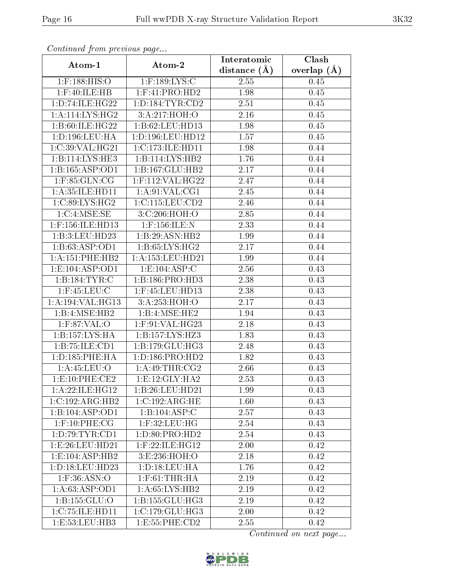| Contentaca prom providuo pago<br>Atom-1 |                             | Interatomic    | Clash           |
|-----------------------------------------|-----------------------------|----------------|-----------------|
|                                         | Atom-2                      | distance $(A)$ | overlap $(\AA)$ |
| $1:$ F:188:HIS:O                        | $1:$ F:189:LYS:C            | 2.55           | 0.45            |
| $1:$ F:40:ILE:HB                        | $1:$ F:41:PRO:HD2           | 1.98           | 0.45            |
| 1: D: 74: ILE: HG22                     | 1: D: 184: TYR: CD2         | 2.51           | 0.45            |
| $1: A:114:LYS:H\overline{G2}$           | 3:A:217:HOH:O               | 2.16           | 0.45            |
| 1:B:60:ILE:HG22                         | 1:B:62:LEU:HD13             | 1.98           | 0.45            |
| 1: D: 196: LEU: HA                      | 1:D:196:LEU:HD12            | 1.57           | 0.45            |
| 1:C:39:VAL:HG21                         | 1:C:173:ILE:HD11            | 1.98           | 0.44            |
| 1:B:114:LYS:HE3                         | 1:B:114:LYS:HB2             | 1.76           | 0.44            |
| 1:B:165:ASP:OD1                         | 1:B:167:GLU:HB2             | 2.17           | 0.44            |
| $1:$ F:85: $GLN:CG$                     | 1:F:112:VAL:HG22            | 2.47           | 0.44            |
| 1:A:35:ILE:HD11                         | 1: A:91: VAL:CG1            | 2.45           | 0.44            |
| 1:C:89:LYS:HG2                          | 1:C:115:LEU:CD2             | 2.46           | 0.44            |
| 1:C:4:MSE:SE                            | 3:C:206:HOH:O               | 2.85           | 0.44            |
| 1:F:156:ILE:HD13                        | $1:$ F:156:ILE:N            | 2.33           | 0.44            |
| 1:B:3:LEU:HD23                          | $1:B:29:ASN:H\overline{B2}$ | 1.99           | 0.44            |
| 1:B:63:ASP:OD1                          | 1: B:65: LYS: HG2           | 2.17           | 0.44            |
| 1:A:151:PHE:HB2                         | 1: A: 153: LEU: HD21        | 1.99           | 0.44            |
| 1: E: 104: ASP: OD1                     | 1:E:104:ASP:C               | 2.56           | 0.43            |
| 1:B:184:TYR:C                           | 1: B: 186: PRO: HD3         | 2.38           | 0.43            |
| $1:$ F:45:LEU:C                         | 1:F:45:LEU:HD13             | 2.38           | 0.43            |
| 1:A:194:VAL:HG13                        | 3:A:253:HOH:O               | 2.17           | 0.43            |
| 1:B:4:MSE:HB2                           | 1:B:4:MSE:HE2               | 1.94           | 0.43            |
| $1:$ F:87:VAL:O                         | $1:$ F:91:VAL:HG23          | 2.18           | 0.43            |
| 1:B:157:LYS:HA                          | 1:B:157:LYS:HZ3             | 1.83           | 0.43            |
| 1:B:75:ILE:CD1                          | 1: B: 179: GLU: HG3         | 2.48           | 0.43            |
| 1:D:185:PHE:HA                          | 1:D:186:PRO:HD2             | 1.82           | 0.43            |
| 1: A:45:LEU:O                           | 1: A:49:THR:CG2             | 2.66           | 0.43            |
| 1:E:10:PHE:CE2                          | 1:E:12:GLY:HA2              | 2.53           | 0.43            |
| 1: A:22: ILE: HG12                      | 1:B:26:LEU:HD21             | 1.99           | 0.43            |
| 1:C:192:ARG:HB2                         | 1:C:192:ARG:HE              | 1.60           | 0.43            |
| 1:B:104:ASP:OD1                         | 1:B:104:ASP:C               | 2.57           | 0.43            |
| $1:$ F:10:PHE:CG                        | $1:$ F:32:LEU:HG            | 2.54           | 0.43            |
| 1: D:79: TYR: CD1                       | 1: D:80: PRO:HD2            | 2.54           | 0.43            |
| 1:E:26:LEU:HD21                         | $1:$ F:22:ILE:HG12          | 2.00           | 0.42            |
| 1:E:104:ASP:HB2                         | 3:E:236:HOH:O               | 2.18           | 0.42            |
| 1: D: 18: LEU: HD23                     | 1: D: 18: LEU: HA           | 1.76           | 0.42            |
| $1:$ F:36:ASN:O                         | $1:$ F:61:THR:HA            | 2.19           | 0.42            |
| 1: A:63: ASP:OD1                        | 1: A:65: LYS:HB2            | 2.19           | 0.42            |
| 1: B: 155: GLU: O                       | 1: B: 155: GLU: HG3         | 2.19           | 0.42            |
| 1:C:75:ILE:HD11                         | 1:C:179:CLU:HG3             | 2.00           | 0.42            |
| 1:E:53:LEU:HB3                          | 1:E:55:PHE:CD2              | 2.55           | 0.42            |

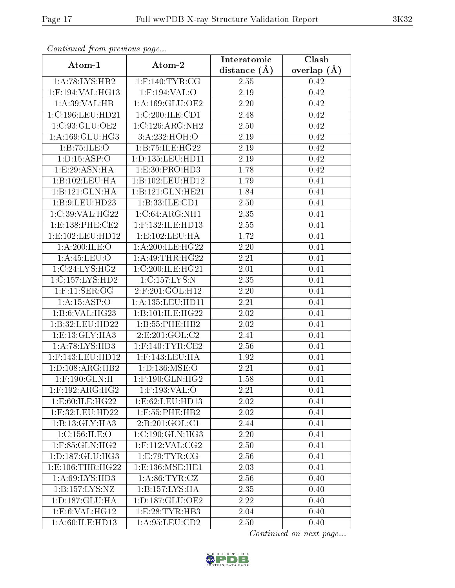| Continuea from previous page |                                                | Interatomic       | Clash           |
|------------------------------|------------------------------------------------|-------------------|-----------------|
| Atom-1                       | Atom-2                                         | distance $(A)$    | overlap $(\AA)$ |
| 1: A:78: LYS: HB2            | $1:$ F:140:TYR:CG                              | 2.55              | 0.42            |
| $1:$ F:194:VAL:HG13          | $1:$ F:194:VAL:O                               | $\overline{2.19}$ | 0.42            |
| 1:A:39:VAL:HB                | 1: A: 169: GLU: OE2                            | 2.20              | 0.42            |
| 1:C:196:LEU:HD21             | 1:C:200:ILE:CD1                                | 2.48              | 0.42            |
| 1:C:93:GLU:OE2               | 1:C:126:ARG:NH2                                | 2.50              | 0.42            |
| 1: A: 169: GLU: HG3          | 3:A:232:HOH:O                                  | 2.19              | 0.42            |
| 1:B:75:ILE:O                 | 1:B:75:ILE:HG22                                | 2.19              | 0.42            |
| 1: D: 15: ASP: O             | 1: D: 135: LEU: HD11                           | 2.19              | 0.42            |
| 1:E:29:ASN:HA                | 1:E:30:PRO:HD3                                 | 1.78              | 0.42            |
| 1:B:102:LEU:HA               | 1:B:102:LEU:HD12                               | 1.79              | 0.41            |
| 1:B:121:GLN:HA               | 1:B:121:GLN:HE21                               | 1.84              | 0.41            |
| 1:B:9:LEU:HD23               | 1:B:33:ILE:CD1                                 | 2.50              | 0.41            |
| 1:C:39:VAL:HG22              | 1:C:64:ARG:NH1                                 | 2.35              | 0.41            |
| 1:E:138:PHE:CE2              | 1:F:132:ILE:HD13                               | 2.55              | 0.41            |
| 1:E:102:LEU:HD12             | 1:E:102:LEU:HA                                 | 1.72              | 0.41            |
| 1: A:200: ILE:O              | 1:A:200:ILE:HG22                               | 2.20              | 0.41            |
| 1: A:45:LEU:O                | 1:A:49:THR:HG22                                | $\overline{2.21}$ | 0.41            |
| 1:C:24:LYS:HG2               | 1:C:200:ILE:HG21                               | 2.01              | 0.41            |
| 1:C:157:LYS:HD2              | 1:C:157:LYS:N                                  | 2.35              | 0.41            |
| $1:$ F:11:SER:OG             | $2:$ F:201:GOL:H12                             | 2.20              | 0.41            |
| 1:A:15:ASP:O                 | 1: A: 135: LEU: HD11                           | 2.21              | 0.41            |
| 1:B:6:VAL:HG23               | 1:B:101:ILE:HG22                               | $2.02\,$          | 0.41            |
| 1:B:32:LEU:HD22              | 1:B:55:PHE:HB2                                 | 2.02              | 0.41            |
| 1: E: 13: GLY: HA3           | 2:E:201:GOL:C2                                 | 2.41              | 0.41            |
| 1:A:78:LYS:HD3               | $1:$ F:140:TYR:CE2                             | 2.56              | 0.41            |
| 1:F:143:LEU:HD12             | 1:F:143:LEU:HA                                 | 1.92              | 0.41            |
| 1: D: 108: ARG: HB2          | 1: D: 136: MSE: O                              | 2.21              | 0.41            |
| $1:$ F:190:GLN:H             | $1:$ F:190: $\overline{\text{GLN}:\text{HG2}}$ | 1.58              | 0.41            |
| $1:$ F:192:ARG:HG2           | 1:F:193:VAL:O                                  | 2.21              | 0.41            |
| 1:E:60:ILE:HG22              | 1:E:62:LEU:HD13                                | 2.02              | 0.41            |
| 1:F:32:LEU:HD22              | $1:$ F:55:PHE:HB2                              | 2.02              | 0.41            |
| 1:B:13:GLY:HA3               | 2:B:201:GOL:C1                                 | 2.44              | 0.41            |
| 1:C:156:ILE:O                | 1:C:190:GLN:HG3                                | 2.20              | 0.41            |
| 1:F:85:GLN:HG2               | $1:$ F:112:VAL:CG2                             | 2.50              | 0.41            |
| 1: D: 187: GLU: HG3          | 1:E:79:TYR:CG                                  | 2.56              | 0.41            |
| 1:E:106:THR:HG22             | 1:E:136:MSE:HE1                                | 2.03              | 0.41            |
| 1:A:69:LYS:HD3               | 1: A:86: TYR: CZ                               | 2.56              | 0.40            |
| 1:B:157:LYS:NZ               | 1:B:157:LYS:HA                                 | 2.35              | 0.40            |
| 1: D: 187: GLU: HA           | 1: D: 187: GLU: OE2                            | 2.22              | 0.40            |
| 1:E:6:VAL:HG12               | 1: E: 28: TYR: HB3                             | 2.04              | 0.40            |
| 1:A:60:ILE:HD13              | 1:A:95:LEU:CD2                                 | 2.50              | 0.40            |

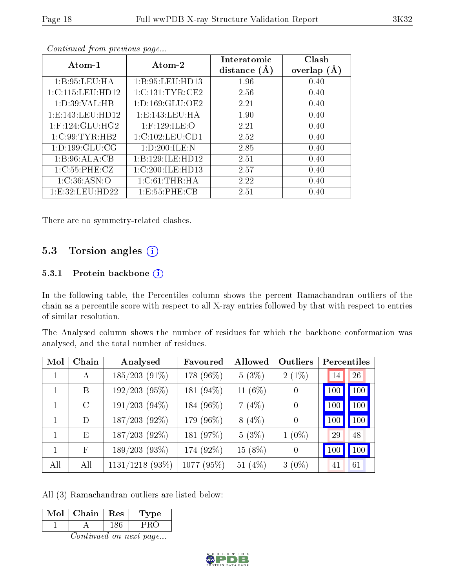| Atom-1               | Atom-2              | Interatomic<br>distance $(A)$ | Clash<br>overlap $(A)$ |
|----------------------|---------------------|-------------------------------|------------------------|
| 1: B:95:LEU:HA       | 1:B:95:LEU:HD13     | 1.96                          | 0.40                   |
| 1:C:115:LEU:HD12     | 1:C:131:TYR:CE2     | 2.56                          | 0.40                   |
| 1: D:39: VAL:HB      | 1: D: 169: GLU: OE2 | 2.21                          | 0.40                   |
| 1: E: 143: LEU: HD12 | 1:E:143:LEU:HA      | 1.90                          | 0.40                   |
| $1:$ F:124:GLU:HG2   | $1:$ F:129:ILE:O    | 2.21                          | 0.40                   |
| 1:C:99:TYR:HB2       | 1:C:102:LEU:CD1     | 2.52                          | 0.40                   |
| 1: D: 199: GLU: CG   | 1:D:200:ILE:N       | 2.85                          | 0.40                   |
| 1:B:96:ALA:CB        | 1:B:129:ILE:HD12    | 2.51                          | 0.40                   |
| 1:C:55:PHE:CZ        | 1:C:200:ILE:HD13    | 2.57                          | 0.40                   |
| 1:C:36:ASN:O         | 1: C:61:THR:HA      | 2.22                          | 0.40                   |
| 1: E: 32: LEU: HD22  | 1: E: 55: PHE: CB   | 2.51                          | 0.40                   |

There are no symmetry-related clashes.

#### 5.3 Torsion angles (i)

#### 5.3.1 Protein backbone  $(i)$

In the following table, the Percentiles column shows the percent Ramachandran outliers of the chain as a percentile score with respect to all X-ray entries followed by that with respect to entries of similar resolution.

The Analysed column shows the number of residues for which the backbone conformation was analysed, and the total number of residues.

| Mol | Chain      | Analysed           | Favoured   | Allowed    | Outliers       | Percentiles |     |
|-----|------------|--------------------|------------|------------|----------------|-------------|-----|
| 1   | A          | $185/203(91\%)$    | 178 (96%)  | $5(3\%)$   | $2(1\%)$       | 14          | 26  |
|     | B          | $192/203$ (95%)    | 181 (94%)  | 11 (6%)    | $\overline{0}$ | 100         | 100 |
| 1   | $\rm C$    | $191/203$ $(94\%)$ | 184 (96%)  | 7(4%)      | $\theta$       | 100         | 100 |
| 1   | D          | 187/203 (92%)      | 179 (96%)  | $8(4\%)$   | $\theta$       | 100         | 100 |
|     | E          | $187/203$ (92%)    | 181 (97%)  | $5(3\%)$   | $1(0\%)$       | 29          | 48  |
| 1   | $_{\rm F}$ | $189/203(93\%)$    | 174 (92%)  | $15(8\%)$  | $\theta$       | 100         | 100 |
| All | All        | $1131/1218$ (93%)  | 1077 (95%) | 51 $(4\%)$ | $3(0\%)$       | 41          | 61  |

All (3) Ramachandran outliers are listed below:

| Mol | Chain | Res | Type |
|-----|-------|-----|------|
|     |       |     |      |

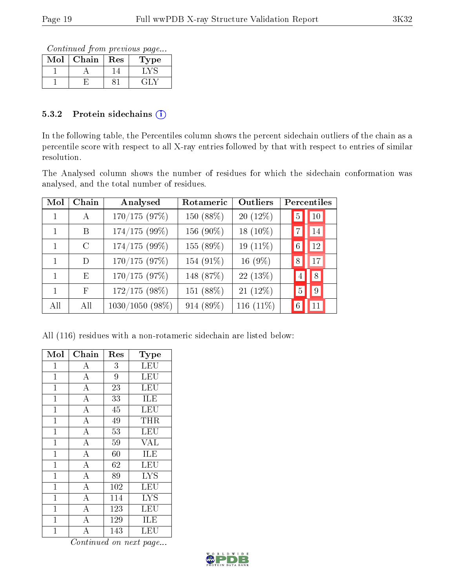Continued from previous page...

| Mol | Chain | Res | Type |
|-----|-------|-----|------|
|     |       |     |      |
|     |       |     |      |

#### 5.3.2 Protein sidechains  $(i)$

In the following table, the Percentiles column shows the percent sidechain outliers of the chain as a percentile score with respect to all X-ray entries followed by that with respect to entries of similar resolution.

The Analysed column shows the number of residues for which the sidechain conformation was analysed, and the total number of residues.

| Mol | Chain         | Rotameric<br>Analysed |           | Outliers   | Percentiles         |
|-----|---------------|-----------------------|-----------|------------|---------------------|
|     | A             | 170/175(97%)          | 150 (88%) | $20(12\%)$ | $ 10\rangle$<br>5   |
|     | B             | 174/175 (99%)         | 156 (90%) | 18 (10%)   | 14                  |
|     | $\mathcal{C}$ | $174/175(99\%)$       | 155 (89%) | 19 (11%)   | 12                  |
| 1   | D             | 170/175 (97%)         | 154 (91%) | 16 $(9\%)$ | 17<br>8             |
|     | E             | 170/175(97%)          | 148 (87%) | 22 (13%)   | 8<br>$\overline{4}$ |
|     | $_{\rm F}$    | 172/175 (98%)         | 151 (88%) | 21 (12%)   | $\overline{5}$<br>9 |
| All | All           | $1030/1050$ (98%)     | 914 (89%) | 116 (11%)  | $\overline{6}$      |

All (116) residues with a non-rotameric sidechain are listed below:

| Mol            | Chain              | Res | Type       |
|----------------|--------------------|-----|------------|
| $\mathbf 1$    | A                  | 3   | LEU        |
| $\mathbf{1}$   | $\overline{\rm A}$ | 9   | <b>LEU</b> |
| $\mathbf{1}$   | $\boldsymbol{A}$   | 23  | LEU        |
| $\mathbf{1}$   | $\overline{A}$     | 33  | <b>ILE</b> |
| $\mathbf{1}$   | $\overline{A}$     | 45  | <b>LEU</b> |
| $\overline{1}$ | $\overline{A}$     | 49  | THR        |
| $\mathbf{1}$   | $\overline{\rm A}$ | 53  | LEU        |
| $\overline{1}$ | $\overline{A}$     | 59  | <b>VAL</b> |
| $\mathbf{1}$   | $\overline{\rm A}$ | 60  | <b>ILE</b> |
| $\mathbf{1}$   | $\overline{A}$     | 62  | <b>LEU</b> |
| $\mathbf 1$    | $\overline{A}$     | 89  | <b>LYS</b> |
| $\mathbf{1}$   | $\overline{\rm A}$ | 102 | LEU        |
| $\mathbf{1}$   | $\bf{A}$           | 114 | <b>LYS</b> |
| $\mathbf{1}$   | $\overline{\rm A}$ | 123 | LEU        |
| $\mathbf 1$    | $\bf{A}$           | 129 | ILE        |
| 1              | А                  | 143 | LEU        |

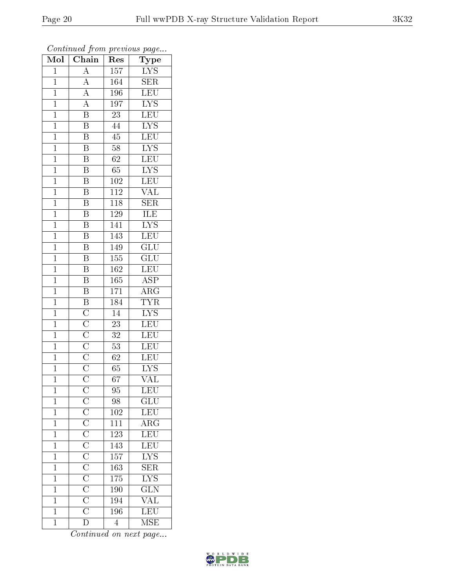| Mol            | $\overline{\text{Chain}}$                                                                                                                                                       | r -<br>Res       | x.<br>ر .<br>Type               |
|----------------|---------------------------------------------------------------------------------------------------------------------------------------------------------------------------------|------------------|---------------------------------|
| $\mathbf{1}$   | $\overline{A}$                                                                                                                                                                  | 157              | <b>LYS</b>                      |
| $\mathbf{1}$   | $\overline{A}$                                                                                                                                                                  | 164              | <b>SER</b>                      |
| $\overline{1}$ | $\overline{A}$                                                                                                                                                                  | 196              | $\overline{\text{LEU}}$         |
| $\mathbf 1$    | $\overline{A}$                                                                                                                                                                  | 197              | $\overline{\text{LYS}}$         |
| $\overline{1}$ | $\overline{\mathbf{B}}$                                                                                                                                                         | $\overline{23}$  | $\overline{\text{LEU}}$         |
| $\mathbf 1$    | $\overline{\mathrm{B}}$                                                                                                                                                         | 44               | $\overline{\rm LYS}$            |
| $\mathbf{1}$   | $\overline{\mathrm{B}}$                                                                                                                                                         | 45               | LEU                             |
| $\mathbf{1}$   | $\overline{\mathrm{B}}$                                                                                                                                                         | $58\,$           | $\overline{\text{LYS}}$         |
| $\overline{1}$ | $\overline{\text{B}}$                                                                                                                                                           | 62               | $\overline{\text{LEU}}$         |
| $\mathbf 1$    | $\overline{\mathrm{B}}$                                                                                                                                                         | 65               | $\overline{\text{LYS}}$         |
| $\mathbf{1}$   | $\overline{\mathrm{B}}$                                                                                                                                                         | 102              | <b>LEU</b>                      |
| $\mathbf{1}$   | $\overline{\mathrm{B}}$                                                                                                                                                         | 112              | $\overline{\text{VAL}}$         |
| $\mathbf{1}$   | $\overline{\mathrm{B}}$                                                                                                                                                         | 118              | <b>SER</b>                      |
| $\mathbf{1}$   | $\overline{\mathbf{B}}$                                                                                                                                                         | 129              | <b>ILE</b>                      |
| $\overline{1}$ | $\overline{\mathrm{B}}$                                                                                                                                                         | 141              | $\overline{\text{LYS}}$         |
| $\mathbf{1}$   | Β                                                                                                                                                                               | 143              | LEU                             |
| $\mathbf{1}$   | $\overline{\mathrm{B}}$                                                                                                                                                         | 149              | $\overline{\text{GLU}}$         |
| $\mathbf{1}$   | $\boldsymbol{\mathrm{B}}$                                                                                                                                                       | 155              | $\overline{{\rm GLU}}$          |
| $\mathbf{1}$   | $\overline{\mathrm{B}}$                                                                                                                                                         | 162              | <b>LEU</b>                      |
| $\mathbf{1}$   | $\overline{\mathrm{B}}$                                                                                                                                                         | 165              | $\overline{\text{ASP}}$         |
| $\mathbf{1}$   | $\overline{\mathrm{B}}$                                                                                                                                                         | 171              | $\overline{\text{ARG}}$         |
| $\mathbf{1}$   | $\overline{B}$                                                                                                                                                                  | 184              | <b>TYR</b>                      |
| $\mathbf 1$    | $\overline{\text{C}}$ $\overline{\text{C}}$ $\overline{\text{C}}$ $\overline{\text{C}}$ $\overline{\text{C}}$ $\overline{\text{C}}$ $\overline{\text{C}}$ $\overline{\text{C}}$ | 14               | $\overline{\text{LYS}}$         |
| $\overline{1}$ |                                                                                                                                                                                 | 23               | $\overline{\text{LEU}}$         |
| $\overline{1}$ |                                                                                                                                                                                 | 32               | <b>LEU</b>                      |
| $\mathbf{1}$   |                                                                                                                                                                                 | 53               | <b>LEU</b>                      |
| $\mathbf 1$    |                                                                                                                                                                                 | 62               | LEU                             |
| $\overline{1}$ |                                                                                                                                                                                 | 65               | $\overline{\text{LYS}}$         |
| $\overline{1}$ |                                                                                                                                                                                 | $\overline{67}$  | $\overline{\text{VAL}}$         |
| 1              |                                                                                                                                                                                 | 95               | <b>LEU</b>                      |
| $\mathbf{1}$   |                                                                                                                                                                                 | 98               | $\overline{\text{GLU}}$         |
| $\overline{1}$ |                                                                                                                                                                                 | 102              | LEU                             |
| $\mathbf{1}$   |                                                                                                                                                                                 | $\overline{111}$ | $\overline{\rm{ARG}}$           |
| $\overline{1}$ |                                                                                                                                                                                 | $\overline{123}$ | LEU                             |
| $\mathbf{1}$   |                                                                                                                                                                                 | 143              | LEU                             |
| $\mathbf 1$    |                                                                                                                                                                                 | $\overline{157}$ | $\overline{\text{LYS}}$         |
| $\mathbf 1$    |                                                                                                                                                                                 | 163              | $\overline{\text{SER}}$         |
| $\mathbf 1$    |                                                                                                                                                                                 | 175              | $\overline{\text{LYS}}$         |
| $\mathbf 1$    |                                                                                                                                                                                 | 190              | $\frac{\text{GLN}}{\text{VAL}}$ |
| $\mathbf{1}$   |                                                                                                                                                                                 | $\overline{194}$ |                                 |
| $\mathbf 1$    |                                                                                                                                                                                 | <b>196</b>       | $\overline{\text{LEU}}$         |
| $\mathbf{1}$   | $\overline{\rm D}$                                                                                                                                                              | $\overline{4}$   | <b>MSE</b>                      |

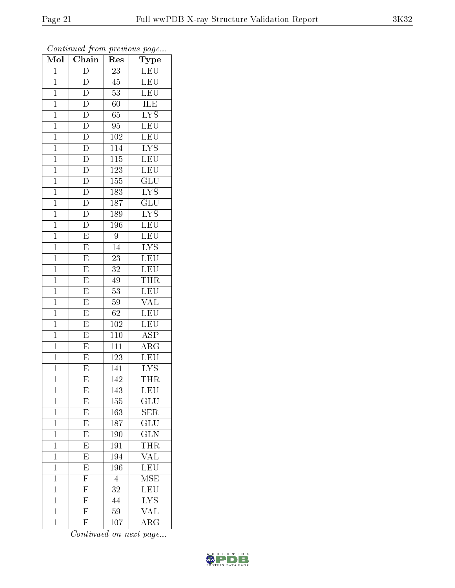| Mol            | $\overline{\text{Chain}}$ | Res              | $r \sim 3$<br>Type      |
|----------------|---------------------------|------------------|-------------------------|
| $\mathbf 1$    | $\mathbf D$               | 23               | LEU                     |
| $\overline{1}$ | $\overline{\rm D}$        | 45               | <b>LEU</b>              |
| $\mathbf{1}$   | $\overline{\rm D}$        | $\overline{53}$  | <b>LEU</b>              |
| $\mathbf{1}$   | $\overline{\rm D}$        | 60               | ILE                     |
| $\mathbf{1}$   | $\overline{\rm D}$        | $\overline{65}$  | $\overline{\text{LYS}}$ |
| $\mathbf 1$    | $\overline{\mathrm{D}}$   | 95               | LEU                     |
| $\mathbf 1$    | $\overline{\rm D}$        | 102              | LEU                     |
| $\mathbf 1$    | $\overline{D}$            | 114              | $\overline{\text{LYS}}$ |
| $\mathbf{1}$   | $\overline{D}$            | 115              | LEU                     |
| $\mathbf 1$    | $\overline{\rm D}$        | 123              | <b>LEU</b>              |
| $\mathbf{1}$   | $\overline{D}$            | 155              | $\overline{{\rm GLU}}$  |
| $\overline{1}$ | $\overline{\rm D}$        | 183              | $\overline{\text{LYS}}$ |
| $\mathbf{1}$   | $\overline{D}$            | 187              | $\overline{\text{GLU}}$ |
| $\mathbf{1}$   | $\overline{\rm D}$        | 189              | $\overline{\text{LYS}}$ |
| $\overline{1}$ | $\overline{\rm D}$        | 196              | LEU                     |
| $\mathbf{1}$   | $\mathbf E$               | $\boldsymbol{9}$ | <b>LEU</b>              |
| $\overline{1}$ | $\overline{\mathrm{E}}$   | $\overline{14}$  | $\overline{\text{LYS}}$ |
| $\mathbf{1}$   | E                         | $2\overline{3}$  | <b>LEU</b>              |
| $\mathbf{1}$   | E                         | 32               | LEU                     |
| $\mathbf 1$    | $\overline{\mathrm{E}}$   | 49               | <b>THR</b>              |
| $\mathbf{1}$   | $\overline{\mathrm{E}}$   | 53               | <b>LEU</b>              |
| $\overline{1}$ | $\overline{E}$            | 59               | $\overline{\text{VAL}}$ |
| $\mathbf 1$    | $\overline{\mathrm{E}}$   | 62               | $\overline{\text{LEU}}$ |
| $\mathbf{1}$   | $\overline{\mathrm{E}}$   | 102              | LEU                     |
| $\mathbf{1}$   | $\overline{\mathrm{E}}$   | 110              | $\overline{\text{ASP}}$ |
| $\mathbf 1$    | $\overline{\mathrm{E}}$   | 111              | $\rm{ARG}$              |
| $\mathbf 1$    | E                         | 123              | $\overline{\text{LEU}}$ |
| $\mathbf 1$    | $\overline{\mathrm{E}}$   | 141              | <b>LYS</b>              |
| $\overline{1}$ | $\overline{\mathrm{E}}$   | $\overline{142}$ | <b>THR</b>              |
| 1              | E                         | 143              | LEU                     |
| $\mathbf 1$    | $\overline{E}$            | 155              | $\overline{\text{GLU}}$ |
| $\mathbf{1}$   | $\overline{E}$            | 163              | SER                     |
| $\mathbf{1}$   | $\overline{\mathrm{E}}$   | $\overline{187}$ | GLU                     |
| $\overline{1}$ | $\overline{E}$            | 190              | $\overline{\text{GLN}}$ |
| $\mathbf{1}$   | $\overline{E}$            | 191              | <b>THR</b>              |
| $\overline{1}$ | $\overline{E}$            | 194              | $\overline{\text{VAL}}$ |
| $\mathbf 1$    | $\overline{E}$            | 196              | $\overline{\text{LEU}}$ |
| $\mathbf 1$    | $\overline{\mathrm{F}}$   | $\overline{4}$   | <b>MSE</b>              |
| $\mathbf 1$    | $\overline{F}$            | 32               | $\overline{\text{LEU}}$ |
| $\mathbf 1$    | $\overline{\mathrm{F}}$   | 44               | <b>LYS</b>              |
| $\mathbf 1$    | $\overline{\mathrm{F}}$   | 59               | $\overline{\text{VAL}}$ |
| $\mathbf 1$    | $\overline{\mathrm{F}}$   | 107              | ARG                     |

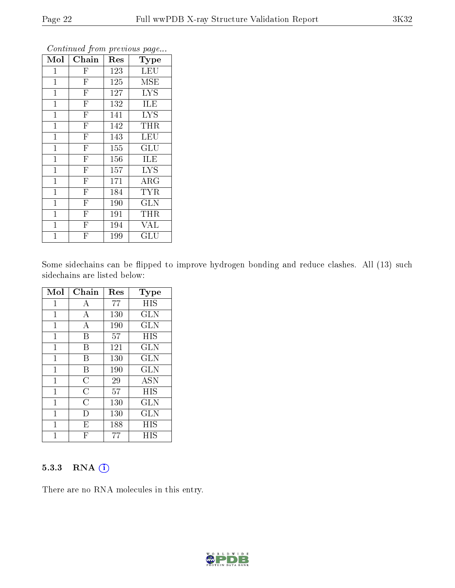| Mol          | Chain                   | Res | Type                 |
|--------------|-------------------------|-----|----------------------|
| 1            | $\mathbf{F}$            | 123 | <b>LEU</b>           |
| $\mathbf 1$  | $\overline{\mathrm{F}}$ | 125 | MSE                  |
| $\mathbf{1}$ | $\overline{\mathrm{F}}$ | 127 | <b>LYS</b>           |
| $\mathbf 1$  | $\overline{\mathrm{F}}$ | 132 | <b>ILE</b>           |
| $\mathbf 1$  | $\overline{\mathrm{F}}$ | 141 | <b>LYS</b>           |
| $\mathbf{1}$ | $\overline{\mathrm{F}}$ | 142 | THR                  |
| $\mathbf 1$  | $\overline{\mathrm{F}}$ | 143 | <b>LEU</b>           |
| $\mathbf{1}$ | $\overline{\mathrm{F}}$ | 155 | GLU                  |
| $\mathbf{1}$ | $\overline{\mathrm{F}}$ | 156 | ILE                  |
| $\mathbf 1$  | $\overline{\mathrm{F}}$ | 157 | <b>LYS</b>           |
| $\mathbf{1}$ | $\overline{\mathrm{F}}$ | 171 | ARG                  |
| $\mathbf{1}$ | $\overline{\mathrm{F}}$ | 184 | <b>TYR</b>           |
| $\mathbf 1$  | $\overline{\mathrm{F}}$ | 190 | <b>GLN</b>           |
| $\mathbf{1}$ | $\overline{\mathrm{F}}$ | 191 | <b>THR</b>           |
| $\mathbf 1$  | $\overline{F}$          | 194 | <b>VAL</b>           |
| 1            | F                       | 199 | $\operatorname{GLU}$ |

Some sidechains can be flipped to improve hydrogen bonding and reduce clashes. All (13) such sidechains are listed below:

| Mol            | Chain          | Res | <b>Type</b>  |
|----------------|----------------|-----|--------------|
| 1              | А              | 77  | HIS          |
| $\mathbf{1}$   | А              | 130 | GLN          |
| 1              | А              | 190 | GLN          |
| 1              | В              | 57  | HIS          |
| $\mathbf{1}$   | В              | 121 | <b>GLN</b>   |
| 1              | В              | 130 | <b>GLN</b>   |
| 1              | В              | 190 | <b>GLN</b>   |
| $\mathbf{1}$   | C              | 29  | <b>ASN</b>   |
| 1              | $\overline{C}$ | 57  | HIS          |
| $\mathbf{1}$   | $\overline{C}$ | 130 | GLN          |
| $\overline{1}$ | Ð              | 130 | $_{\rm GLN}$ |
| 1              | E              | 188 | HIS          |
| 1              | F              | 77  | HIS          |

#### 5.3.3 RNA (i)

There are no RNA molecules in this entry.

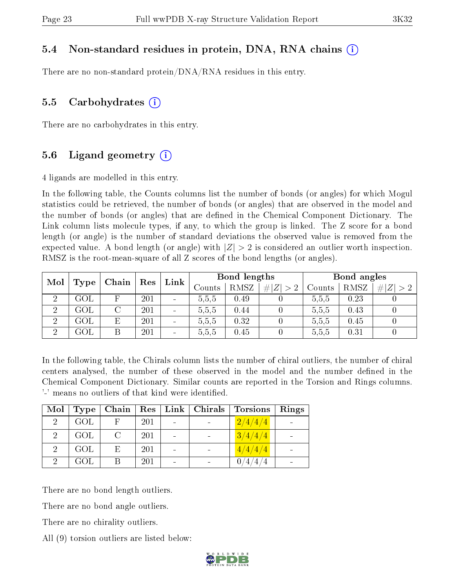#### 5.4 Non-standard residues in protein, DNA, RNA chains (i)

There are no non-standard protein/DNA/RNA residues in this entry.

#### 5.5 Carbohydrates  $(i)$

There are no carbohydrates in this entry.

#### 5.6 Ligand geometry  $(i)$

4 ligands are modelled in this entry.

In the following table, the Counts columns list the number of bonds (or angles) for which Mogul statistics could be retrieved, the number of bonds (or angles) that are observed in the model and the number of bonds (or angles) that are defined in the Chemical Component Dictionary. The Link column lists molecule types, if any, to which the group is linked. The Z score for a bond length (or angle) is the number of standard deviations the observed value is removed from the expected value. A bond length (or angle) with  $|Z| > 2$  is considered an outlier worth inspection. RMSZ is the root-mean-square of all Z scores of the bond lengths (or angles).

| Mol            | $\operatorname{Res}$<br>Chain |   | Link | Bond lengths                 |        |             | Bond angles |        |      |     |
|----------------|-------------------------------|---|------|------------------------------|--------|-------------|-------------|--------|------|-----|
|                | Type                          |   |      |                              | Counts | <b>RMSZ</b> | # $ Z  > 2$ | Counts | RMSZ | # Z |
| റ              | GOL                           |   | 201  | $\qquad \qquad \blacksquare$ | 5,5,5  | 0.49        |             | 5,5,5  | 0.23 |     |
| $\overline{2}$ | $\rm GOL$                     |   | 201  | $\overline{\phantom{a}}$     | 5,5,5  | 0.44        |             | 5.5,5  | 0.43 |     |
| $\overline{2}$ | GOL                           | Е | 201  | $\qquad \qquad$              | 5,5,5  | 0.32        |             | 5,5,5  | 0.45 |     |
| ച              | GOL                           |   | 201  | $\blacksquare$               | 5,5,5  | 0.45        |             | 5,5,5  | 0.31 |     |

In the following table, the Chirals column lists the number of chiral outliers, the number of chiral centers analysed, the number of these observed in the model and the number defined in the Chemical Component Dictionary. Similar counts are reported in the Torsion and Rings columns. '-' means no outliers of that kind were identified.

| Mol            | Type | Chain  | Res | $Link \,  $ Chirals | <b>Torsions</b>           | Rings |
|----------------|------|--------|-----|---------------------|---------------------------|-------|
| $\mathcal{D}$  | GOL  |        | 201 |                     | $\lfloor 2/4/4/4 \rfloor$ |       |
| $\overline{2}$ | GOL  | $\cap$ | 201 |                     | 3/4/4/4                   |       |
| $\mathcal{P}$  | GOL  | E.     | 201 |                     | 4/4/4/4                   |       |
| ച              | GOL  |        | 201 |                     |                           |       |

There are no bond length outliers.

There are no bond angle outliers.

There are no chirality outliers.

All (9) torsion outliers are listed below:

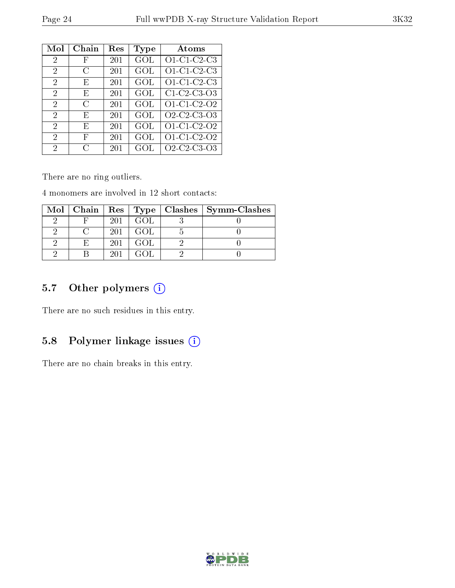| Mol            | Chain | $\operatorname{Res}% \left( \mathcal{N}\right) \equiv\operatorname{Res}(\mathcal{N}_{0},\mathcal{N}_{0})$ | Type | Atoms                                                          |
|----------------|-------|-----------------------------------------------------------------------------------------------------------|------|----------------------------------------------------------------|
| 2              | F     | 201                                                                                                       | GOL  | $O1-C1-C2-C3$                                                  |
| 2              | C     | 201                                                                                                       | GOL  | O1-C1-C2-C3                                                    |
| $\overline{2}$ | E,    | 201                                                                                                       | GOL  | O1-C1-C2-C3                                                    |
| 2              | E     | 201                                                                                                       | GOL  | C1 C2 C3 O3                                                    |
| $\overline{2}$ | С     | 201                                                                                                       | GOL  | O1-C1-C2-O2                                                    |
| 2              | E,    | 201                                                                                                       | GOL  | O <sub>2</sub> -C <sub>2</sub> -C <sub>3</sub> -O <sub>3</sub> |
| 2              | E,    | 201                                                                                                       | GOL  | O1-C1-C2-O2                                                    |
| $\overline{2}$ | F     | 201                                                                                                       | GOL  | O1-C1-C2-O2                                                    |
| 2              | C     | 201                                                                                                       | GOL  | O <sub>2</sub> -C <sub>2</sub> -C <sub>3</sub> -O <sub>3</sub> |

There are no ring outliers.

4 monomers are involved in 12 short contacts:

|  |     |      | Mol   Chain   Res   Type   Clashes   Symm-Clashes |
|--|-----|------|---------------------------------------------------|
|  | 201 | GOL. |                                                   |
|  | 201 | GOL. |                                                   |
|  | 201 | GOL  |                                                   |
|  | 201 |      |                                                   |

## 5.7 [O](https://www.wwpdb.org/validation/2017/XrayValidationReportHelp#nonstandard_residues_and_ligands)ther polymers (i)

There are no such residues in this entry.

## 5.8 Polymer linkage issues (i)

There are no chain breaks in this entry.

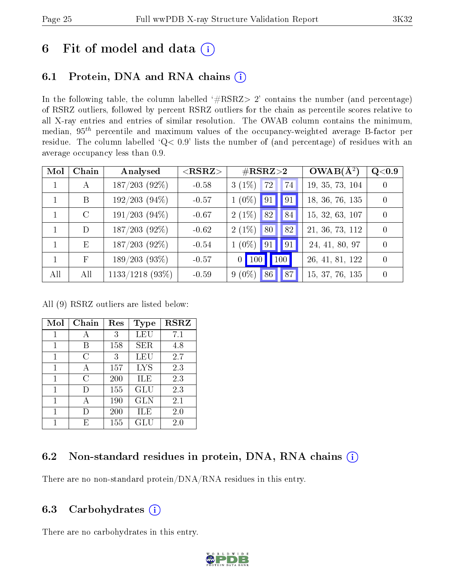## 6 Fit of model and data  $(i)$

## 6.1 Protein, DNA and RNA chains  $(i)$

In the following table, the column labelled  $#RSRZ> 2'$  contains the number (and percentage) of RSRZ outliers, followed by percent RSRZ outliers for the chain as percentile scores relative to all X-ray entries and entries of similar resolution. The OWAB column contains the minimum, median,  $95<sup>th</sup>$  percentile and maximum values of the occupancy-weighted average B-factor per residue. The column labelled ' $Q< 0.9$ ' lists the number of (and percentage) of residues with an average occupancy less than 0.9.

| Mol          | Chain         | Analysed          | $<$ RSRZ $>$ | $\#\text{RSRZ}\text{>2}$            | $OWAB(A^2)$     | $\rm Q\textcolor{black}{<}0.9$ |
|--------------|---------------|-------------------|--------------|-------------------------------------|-----------------|--------------------------------|
| $\mathbf{1}$ | $\mathbf{A}$  | $187/203$ (92%)   | $-0.58$      | $3(1\%)$<br>74<br>72                | 19, 35, 73, 104 |                                |
|              | B             | $192/203(94\%)$   | $-0.57$      | $1(0\%)$<br>91<br>91                | 18, 36, 76, 135 | $\Omega$                       |
|              | $\mathcal{C}$ | $191/203(94\%)$   | $-0.67$      | $2(1\%)$ 82<br>84                   | 15, 32, 63, 107 |                                |
|              | D             | $187/203$ (92%)   | $-0.62$      | $2(1\%)$<br>82<br>80 <sup>°</sup>   | 21, 36, 73, 112 |                                |
| $\mathbf{1}$ | E             | $187/203$ (92%)   | $-0.54$      | $1(0\%)$<br>91<br> 91               | 24, 41, 80, 97  |                                |
|              | $_{\rm F}$    | $189/203(93\%)$   | $-0.57$      | 100<br><b>100</b><br>$\overline{0}$ | 26, 41, 81, 122 | $\cup$                         |
| All          | All           | $1133/1218$ (93%) | $-0.59$      | $9(0\%)$<br>86<br>87                | 15, 37, 76, 135 |                                |

All (9) RSRZ outliers are listed below:

| Mol | Chain  | Res | Type       | <b>RSRZ</b> |
|-----|--------|-----|------------|-------------|
| 1   | А      | 3   | LEU        | 7.1         |
| 1   | В      | 158 | <b>SER</b> | 4.8         |
| 1   | C      | 3   | LEU        | 2.7         |
| 1   | А      | 157 | <b>LYS</b> | 2.3         |
| 1   | C      | 200 | ILE        | 2.3         |
| 1   |        | 155 | GLU        | 2.3         |
| 1   | А      | 190 | <b>GLN</b> | 2.1         |
| 1   | $\Box$ | 200 | ILE        | $2.0\,$     |
|     | F.     | 155 | GLU        | $2.0\,$     |

## 6.2 Non-standard residues in protein, DNA, RNA chains  $(i)$

There are no non-standard protein/DNA/RNA residues in this entry.

#### 6.3 Carbohydrates (i)

There are no carbohydrates in this entry.